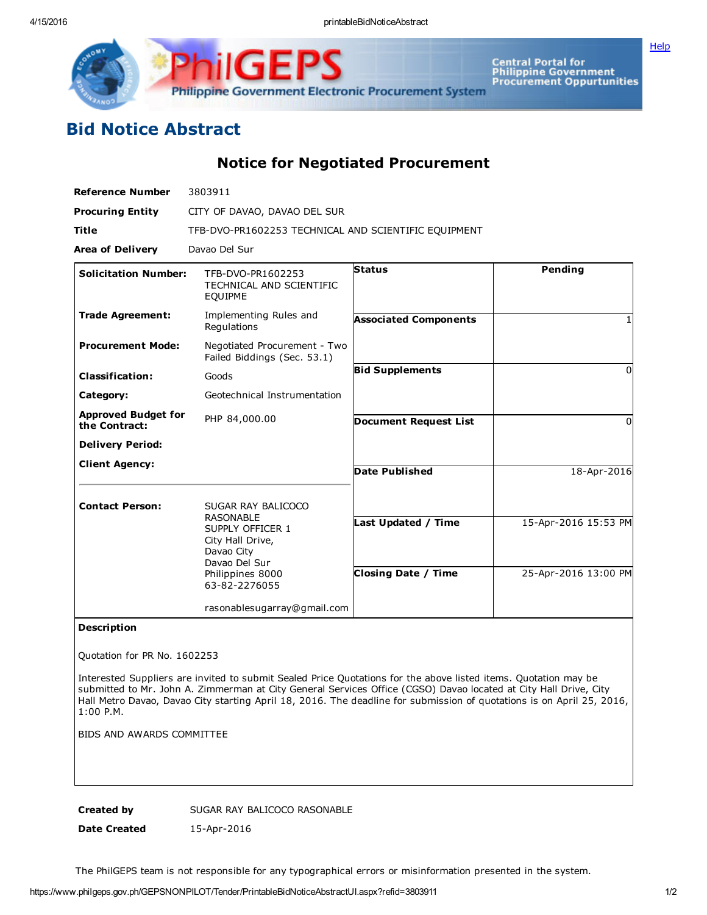

GE **Philippine Government Electronic Procurement System** 

Central Portal for<br>Philippine Government<br>Procurement Oppurtunities

## Bid Notice Abstract

Notice for Negotiated Procurement

| <b>Reference Number</b>                     | 3803911                                                                                                                      |                              |                      |
|---------------------------------------------|------------------------------------------------------------------------------------------------------------------------------|------------------------------|----------------------|
| <b>Procuring Entity</b>                     | CITY OF DAVAO, DAVAO DEL SUR                                                                                                 |                              |                      |
| <b>Title</b>                                | TFB-DVO-PR1602253 TECHNICAL AND SCIENTIFIC EQUIPMENT                                                                         |                              |                      |
| <b>Area of Delivery</b>                     | Davao Del Sur                                                                                                                |                              |                      |
| <b>Solicitation Number:</b>                 | TFB-DVO-PR1602253<br>TECHNICAL AND SCIENTIFIC<br>EQUIPME                                                                     | <b>Status</b>                | Pending              |
| <b>Trade Agreement:</b>                     | Implementing Rules and<br>Regulations                                                                                        | <b>Associated Components</b> |                      |
| <b>Procurement Mode:</b>                    | Negotiated Procurement - Two<br>Failed Biddings (Sec. 53.1)                                                                  |                              |                      |
| <b>Classification:</b>                      | Goods                                                                                                                        | <b>Bid Supplements</b>       | $\Omega$             |
| Category:                                   | Geotechnical Instrumentation                                                                                                 |                              |                      |
| <b>Approved Budget for</b><br>the Contract: | PHP 84,000.00                                                                                                                | <b>Document Request List</b> | $\Omega$             |
| <b>Delivery Period:</b>                     |                                                                                                                              |                              |                      |
| <b>Client Agency:</b>                       |                                                                                                                              | <b>Date Published</b>        | 18-Apr-2016          |
| <b>Contact Person:</b>                      | SUGAR RAY BALICOCO                                                                                                           |                              |                      |
|                                             | <b>RASONABLE</b><br>SUPPLY OFFICER 1<br>City Hall Drive,<br>Davao City<br>Davao Del Sur<br>Philippines 8000<br>63-82-2276055 | Last Updated / Time          | 15-Apr-2016 15:53 PM |
|                                             |                                                                                                                              | <b>Closing Date / Time</b>   | 25-Apr-2016 13:00 PM |
|                                             | rasonablesugarray@gmail.com                                                                                                  |                              |                      |

## Description

Quotation for PR No. 1602253

Interested Suppliers are invited to submit Sealed Price Quotations for the above listed items. Quotation may be submitted to Mr. John A. Zimmerman at City General Services Office (CGSO) Davao located at City Hall Drive, City Hall Metro Davao, Davao City starting April 18, 2016. The deadline for submission of quotations is on April 25, 2016, 1:00 P.M.

BIDS AND AWARDS COMMITTEE

Created by SUGAR RAY BALICOCO RASONABLE

Date Created 15-Apr-2016

The PhilGEPS team is not responsible for any typographical errors or misinformation presented in the system.